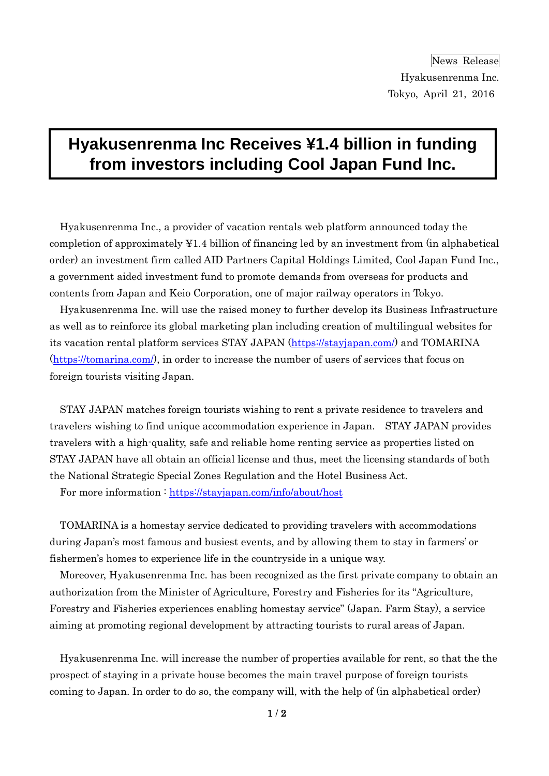# **Hyakusenrenma Inc Receives ¥1.4 billion in funding from investors including Cool Japan Fund Inc.**

Hyakusenrenma Inc., a provider of vacation rentals web platform announced today the completion of approximately ¥1.4 billion of financing led by an investment from (in alphabetical order) an investment firm called AID Partners Capital Holdings Limited, Cool Japan Fund Inc., a government aided investment fund to promote demands from overseas for products and contents from Japan and Keio Corporation, one of major railway operators in Tokyo.

Hyakusenrenma Inc. will use the raised money to further develop its Business Infrastructure as well as to reinforce its global marketing plan including creation of multilingual websites for its vacation rental platform services STAY JAPAN [\(https://stayjapan.com/\)](https://stayjapan.com/) and TOMARINA [\(https://tomarina.com/\)](https://tomarina.com/), in order to increase the number of users of services that focus on foreign tourists visiting Japan.

STAY JAPAN matches foreign tourists wishing to rent a private residence to travelers and travelers wishing to find unique accommodation experience in Japan. STAY JAPAN provides travelers with a high-quality, safe and reliable home renting service as properties listed on STAY JAPAN have all obtain an official license and thus, meet the licensing standards of both the National Strategic Special Zones Regulation and the Hotel Business Act.

For more information :<https://stayjapan.com/info/about/host>

TOMARINA is a homestay service dedicated to providing travelers with accommodations during Japan's most famous and busiest events, and by allowing them to stay in farmers' or fishermen's homes to experience life in the countryside in a unique way.

Moreover, Hyakusenrenma Inc. has been recognized as the first private company to obtain an authorization from the Minister of Agriculture, Forestry and Fisheries for its "Agriculture, Forestry and Fisheries experiences enabling homestay service" (Japan. Farm Stay), a service aiming at promoting regional development by attracting tourists to rural areas of Japan.

Hyakusenrenma Inc. will increase the number of properties available for rent, so that the the prospect of staying in a private house becomes the main travel purpose of foreign tourists coming to Japan. In order to do so, the company will, with the help of (in alphabetical order)